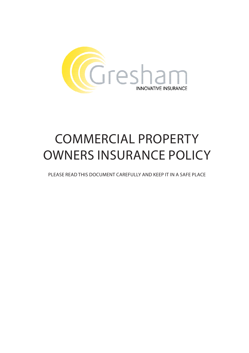

# COMMERCIAL PROPERTY OWNERS INSURANCE POLICY

PLEASE READ THIS DOCUMENT CAREFULLY AND KEEP IT IN A SAFE PLACE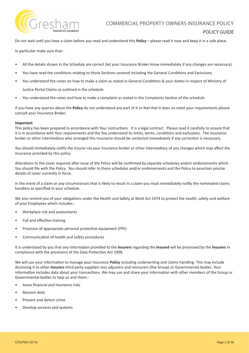

Do not wait until you have a claim before you read and understand this **Policy** – please read it now and keep it in a safe place.

In particular make sure that:-

- All the details shown in the Schedule are correct (let your Insurance Broker know immediately if any changes are necessary).
- You have read the conditions relating to those Sections covered including the General Conditions and Exclusions.
- You understand the notes on how to make a claim as stated in General Conditions & your duties in respect of Ministry of

Justice Portal Claims as outlined in the schedule

• You understand the notes and how to make a complaint as stated in the Complaints Section of the schedule

If you have any queries about the **Policy** do not understand any part of it or feel that it does no meet your requirements please consult your Insurance Broker.

#### **Important**

This policy has been prepared in accordance with Your instructions. It is a legal contract. Please read it carefully to ensure that it is in accordance with Your requirements and the You understand its limits, terms, conditions and exclusions. The insurance broker or other intermediary who arranged this Insurance should be contacted immediately if any correction is necessary.

You should immediately notify the Insurer via your insurance broker or other intermediary of any changes which may affect the insurance provided by this policy.

Alterations to the cover required after issue of the Policy will be confirmed by separate schedules and/or endorsements which You should file with the Policy. You should refer to these schedules and/or endorsements and the Policy to ascertain precise details of cover currently in force.

In the event of a claim or any circumstances that is likely to result in a claim you must immediately notify the nominated claims handlers as specified in your schedule.

We also remind you of your obligations under the Health and Safety at Work Act 1974 to protect the health, safety and welfare of your Employees which includes:-

- Workplace risk and assessments
- Full and effective training
- Provision of appropriate personal protective equipment (PPE)
- Communication of health and safety procedures

It is understood by you that any information provided to the **Insurers** regarding the **Insured** will be processed by the **Insurers** in compliance with the provisions of the Data Protection Act 1998.

We will use your information to manage your insurance **Policy** including underwriting and claims handling. This may include disclosing it to other **Insurers** third party suppliers loss adjusters and reinsurers (the Group) or Governmental bodies. Your information includes data about your transactions. We may use and share your information with other members of the Group or Governmental bodies to help us and them:-

- Asses financial and insurance risks
- Recover debt
- Prevent and detect crime
- Develop services and systems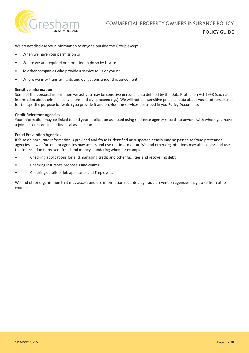

We do not disclose your information to anyone outside the Group except:-

- When we have your permission or
- Where we are required or permitted to do so by Law or
- To other companies who provide a service to us or you or
- Where we may transfer rights and obligations under this agreement.

#### **Sensitive Information**

Some of the personal information we ask you may be sensitive personal data defined by the Data Protection Act 1998 (such as information about criminal convictions and civil proceedings). We will not use sensitive personal data about you or others except for the specific purpose for which you provide it and provide the services described in you **Policy** Documents.

#### **Credit Reference Agencies**

Your information may be linked to and your application assessed using reference agency records to anyone with whom you have a joint account or similar financial association.

#### **Fraud Prevention Agencies**

If false or inaccurate information is provided and fraud is identified or suspected details may be passed to fraud prevention agencies. Law enforcement agencies may access and use this information. We and other organisations may also access and use this information to prevent fraud and money laundering when for example:-

- Checking applications for and managing credit and other facilities and recovering debt
- Checking insurance proposals and claims
- Checking details of job applicants and Employees

We and other organisation that may access and use information recorded by fraud prevention agencies may do so from other counties.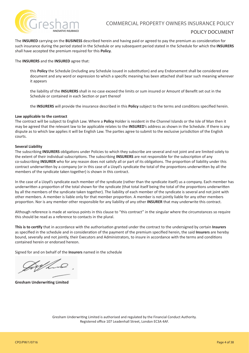

# POLICY DOCUMENT

The **INSURED** carrying on the **BUSINESS** described herein and having paid or agreed to pay the premium as consideration for such insurance during the period stated in the Schedule or any subsequent period stated in the Schedule for which the **INSURERS** shall have accepted the premium required for this **Policy**.

#### The **INSURERS** and the **INSURED** agree that:

this **Policy** the Schedule (including any Schedule issued in substitution) and any Endorsement shall be considered one document and any word or expression to which a specific meaning has been attached shall bear such meaning wherever it appears

the liability of the **INSURERS** shall in no case exceed the limits or sum insured or Amount of Benefit set out in the Schedule or contained in each Section or part thereof

the **INSURERS** will provide the insurance described in this **Policy** subject to the terms and conditions specified herein.

#### **Law applicable to the contract**

The contract will be subject to English Law. Where a **Policy** Holder is resident in the Channel Islands or the Isle of Man then it may be agreed that the relevant law to be applicable relates to the **INSURED**'s address as shown in the Schedule. If there is any dispute as to which law applies it will be English Law. The parties agree to submit to the exclusive jurisdiction of the English courts.

#### **Several Liability**

The subscribing **INSURERS** obligations under Policies to which they subscribe are several and not joint and are limited solely to the extent of their individual subscriptions. The subscribing **INSURERS** are not responsible for the subscription of any co-subscribing **INSURER** who for any reason does not satisfy all or part of its obligations. The proportion of liability under this contract underwritten by a company (or in this case of a Lloyd's syndicate the total of the proportions underwritten by all the members of the syndicate taken together) is shown in this contract.

In the case of a Lloyd's syndicate each member of the syndicate (rather than the syndicate itself) us a company. Each member has underwritten a proportion of the total shown for the syndicate (that total itself being the total of the proportions underwritten by all the members of the syndicate taken together). The liability of each member of the syndicate is several and not joint with other members. A member is liable only for that member proportion. A member is not jointly liable for any other members proportion. Nor is any member other responsible for any liability of any other **INSURER** that may underwrite this contract.

Although reference is made at various points in this clause to "this contract" in the singular where the circumstances so require this should be read as a reference to contacts in the plural.

**This is to certify** that in accordance with the authorisation granted under the contract to the undersigned by certain **Insurers** as specified in the schedule and in consideration of the payment of the premium specified herein, the said **Insurers** are hereby bound, severally and not jointly, their Executors and Administrators, to insure in accordance with the terms and conditions contained herein or endorsed hereon.

Signed for and on behalf of the **Insurers** named in the schedule

Which

**Gresham Underwriting Limited** 

Gresham Underwriting Limited is authorised and regulated by the Financial Conduct Authority. Registered office 107 Leadenhall Street, London EC3A 4AF.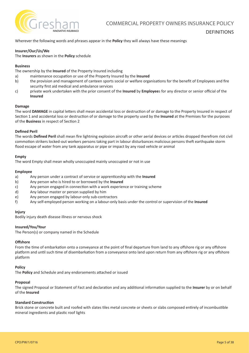

Wherever the following words and phrases appear in the **Policy** they will always have these meanings

#### **Insurer/Our/Us/We**

The **Insurers** as shown in the **Policy** schedule

#### **Business**

The ownership by the **Insured** of the Property Insured including

- a) maintenance occupation or use of the Property Insured by the **Insured**
- b) the provision and management of canteen sports social or welfare organisations for the benefit of Employees and fire security first aid medical and ambulance services
- c) private work undertaken with the prior consent of the **Insured** by **Employee**s for any director or senior official of the **Insured**

#### **Damage**

The word **DAMAGE** in capital letters shall mean accidental loss or destruction of or damage to the Property Insured in respect of Section 1 and accidental loss or destruction of or damage to the property used by the **Insured** at the Premises for the purposes of the **Business** in respect of Section 2

#### **Defined Peril**

The words **Defined Peril** shall mean fire lightning explosion aircraft or other aerial devices or articles dropped therefrom riot civil commotion strikers locked-out workers persons taking part in labour disturbances malicious persons theft earthquake storm flood escape of water from any tank apparatus or pipe or impact by any road vehicle or animal

#### **Empty**

The word Empty shall mean wholly unoccupied mainly unoccupied or not in use

#### **Employee**

- a) Any person under a contract of service or apprenticeship with the **Insured**
- b) Any person who is hired to or borrowed by the **Insured**
- c) Any person engaged in connection with a work experience or training scheme
- d) Any labour master or person supplied by him
- e) Any person engaged by labour-only sub-contractors
- f) Any self-employed person working on a labour-only basis under the control or supervision of the **Insured**

#### **Injury**

Bodily injury death disease illness or nervous shock

#### **Insured/You/Your**

The Person(s) or company named in the Schedule

#### **Offshore**

From the time of embarkation onto a conveyance at the point of final departure from land to any offshore rig or any offshore platform and until such time of disembarkation from a conveyance onto land upon return from any offshore rig or any offshore platform

#### **Policy**

The **Policy** and Schedule and any endorsements attached or issued

#### **Proposal**

The signed Proposal or Statement of Fact and declaration and any additional information supplied to the **Insurer** by or on behalf of the **Insured**

#### **Standard Construction**

Brick stone or concrete built and roofed with slates tiles metal concrete or sheets or slabs composed entirely of incombustible mineral ingredients and plastic roof lights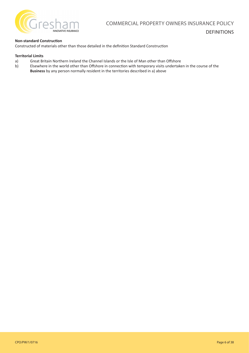

#### **Non-standard Construction**

Constructed of materials other than those detailed in the definition Standard Construction

#### **Territorial Limits**

- a) Great Britain Northern Ireland the Channel Islands or the Isle of Man other than Offshore
- b) Elsewhere in the world other than Offshore in connection with temporary visits undertaken in the course of the **Business** by any person normally resident in the territories described in a) above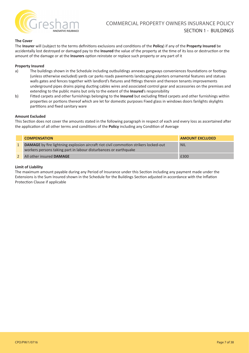

#### **The Cover**

The **Insurer** will (subject to the terms definitions exclusions and conditions of the **Policy**) if any of the **Property Insured** be accidentally lost destroyed or damaged pay to the **Insured** the value of the property at the time of its loss or destruction or the amount of the damage or at the **Insurers** option reinstate or replace such property or any part of it

#### **Property Insured**

- a) The buildings shown in the Schedule including outbuildings annexes gangways conveniences foundations or footings (unless otherwise excluded) yards car parks roads pavements landscaping planters ornamental features and statues walls gates and fences together with landlord's fixtures and fittings therein and thereon tenants improvements underground pipes drains piping ducting cables wires and associated control gear and accessories on the premises and extending to the public mains but only to the extent of the **Insured**'s responsibility
- b) Fitted carpets and other furnishings belonging to the **Insured** but excluding fitted carpets and other furnishings within properties or portions thereof which are let for domestic purposes Fixed glass in windows doors fanlights skylights partitions and fixed sanitary ware

#### **Amount Excluded**

This Section does not cover the amounts stated in the following paragraph in respect of each and every loss as ascertained after the application of all other terms and conditions of the **Policy** including any Condition of Average

| <b>COMPENSATION</b>                                                                                                                                             | <b>AMOUNT EXCLUDED</b> |
|-----------------------------------------------------------------------------------------------------------------------------------------------------------------|------------------------|
| <b>DAMAGE</b> by fire lightning explosion aircraft riot civil commotion strikers locked-out<br>workers persons taking part in labour disturbances or earthquake | <b>NIL</b>             |
| All other insured DAMAGE                                                                                                                                        | £300                   |

#### **Limit of Liability**

The maximum amount payable during any Period of Insurance under this Section including any payment made under the Extensions is the Sum Insured shown in the Schedule for the Buildings Section adjusted in accordance with the Inflation Protection Clause if applicable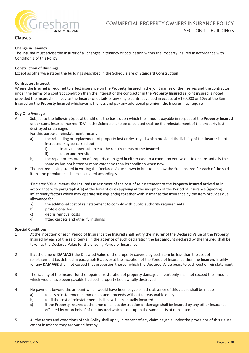

#### **Clauses**

#### **Change in Tenancy**

The **Insured** must advise the **Insurer** of all changes in tenancy or occupation within the Property Insured in accordance with Condition 1 of this **Policy**

#### **Construction of Buildings**

Except as otherwise stated the buildings described in the Schedule are of **Standard Construction**

#### **Contractors Interest**

Where the **Insured** is required to effect insurance on the **Property Insured** in the joint names of themselves and the contractor under the terms of a contract condition then the interest of the contractor in the **Property Insured** as joint insured is noted provided the **Insured** shall advise the **Insurer** of details of any single contract valued in excess of £150,000 or 10% of the Sum Insured on the **Property Insured** whichever is the less and pay any additional premium the **Insurer** may require

#### **Day One Average**

A Subject to the following Special Conditions the basis upon which the amount payable in respect of the **Property Insured**  under sums insured marked "DA" in the Schedule is to be calculated shall be the reinstatement of the property lost destroyed or damaged

For this purpose 'reinstatement' means

- a) the rebuilding or replacement of property lost or destroyed which provided the liability of the **Insurer** is not increased may be carried out
	- i) in any manner suitable to the requirements of the **Insured**
	- ii) upon another site
- b) the repair or restoration of property damaged in either case to a condition equivalent to or substantially the same as but not better or more extensive than its condition when new
- B The **Insured** having stated in writing the Declared Value shown in brackets below the Sum Insured for each of the said items the premium has been calculated accordingly

'Declared Value' means the **Insureds** assessment of the cost of reinstatement of the **Property Insured** arrived at in accordance with paragraph A(a) at the level of costs applying at the inception of the Period of Insurance (ignoring inflationary factors which may operate subsequently) together with insofar as the insurance by the item provides due allowance for

- a) the additional cost of reinstatement to comply with public authority requirements
- b) professional fees
- c) debris removal costs
- d) fitted carpets and other furnishings

#### **Special Conditions**

- 1 At the inception of each Period of Insurance the **Insured** shall notify the **Insurer** of the Declared Value of the Property Insured by each of the said item(s) In the absence of such declaration the last amount declared by the **Insured** shall be taken as the Declared Value for the ensuing Period of Insurance
- 2 If at the time of **DAMAGE** the Declared Value of the property covered by such item be less than the cost of reinstatement (as defined in paragraph B above) at the inception of the Period of Insurance then the **Insurers** liability for any **DAMAGE** shall not exceed that proportion thereof which the Declared Value bears to such cost of reinstatement
- 3 The liability of the **Insurer** for the repair or restoration of property damaged in part only shall not exceed the amount which would have been payable had such property been wholly destroyed
- 4 No payment beyond the amount which would have been payable in the absence of this clause shall be made
	- a) unless reinstatement commences and proceeds without unreasonable delay
	- b) until the cost of reinstatement shall have been actually incurred
	- c) if the Property Insured at the time of its loss destruction or damage shall be insured by any other insurance effected by or on behalf of the **Insured** which is not upon the same basis of reinstatement
- 5 All the terms and conditions of this **Policy** shall apply in respect of any claim payable under the provisions of this clause except insofar as they are varied hereby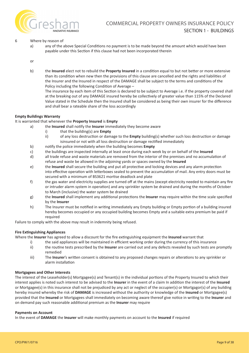

# COMMERCIAL PROPERTY OWNERS INSURANCE POLICY SECTION 1 - BUILDINGS

- 
- 6 Where by reason of
	- a) any of the above Special Conditions no payment is to be made beyond the amount which would have been payable under this Section if this clause had not been incorporated therein

or

b) the **Insured** elect not to rebuild the **Property Insured** in a condition equal to but not better or more extensive than its condition when new then the provisions of this clause are cancelled and the rights and liabilities of the Insurer and the Insured in respect of the DAMAGE shall be subject to the terms and conditions of the Policy including the following Condition of Average –

The insurance by each item of this Section is declared to be subject to Average i.e. if the property covered shall at the breaking out of any DAMAGE insured hereby be collectively of greater value than 115% of the Declared Value stated in the Schedule then the Insured shall be considered as being their own insurer for the difference and shall bear a rateable share of the loss accordingly

#### **Empty Buildings Warranty**

# It is warranted that whenever the **Property Insured** is **Empty**

- a) the **Insured** shall notify the **Insurer** immediately they become aware
	- i) that the building(s) are **Empty**
	- ii) of any loss destruction or damage to the **Empty** building(s) whether such loss destruction or damage isinsured or not with all loss destruction or damage rectified immediately
	- b) notify the police immediately when the building becomes **Empty**
	- c) the buildings are inspected internally at least once during each week by or on behalf of the **Insured**
	- d) all trade refuse and waste materials are removed from the interior of the premises and no accumulation of refuse and waste be allowed in the adjoining yards or spaces owned by the **Insured**
	- e) the **Insured** shall secure the building and put all protective and locking devices and any alarm protection into effective operation with letterboxes sealed to prevent the accumulation of mail. Any entry doors must be secured with a minimum of BS3621 mortise deadlock and plate
	- f) the gas water and electricity supplies are turned off at the mains (except electricity needed to maintain any fire or intruder alarm system in operation) and any sprinkler system be drained and during the months of October to March (inclusive) the water system be drained
	- g) the **Insured** shall implement any additional protections the **Insurer** may require within the time scale specified by the **Insurer**
	- h) The Insurer must be notified in writing immediately any Empty building or Empty portion of a building insured hereby becomes occupied or any occupied building becomes Empty and a suitable extra premium be paid if required

Failure to comply with the above may result in indemnity being refused.

#### **Fire Extinguishing Appliances**

Where the **Insurer** has agreed to allow a discount for the fire extinguishing equipment the **Insured** warrant that

- i) the said appliances will be maintained in efficient working order during the currency of this insurance
- ii) the routine tests prescribed by the **Insurer** are carried out and any defects revealed by such tests are promptly remedied
- iii) The **Insurer**'s written consent is obtained to any proposed changes repairs or alterations to any sprinkler or alarm installation

## **Mortgagees and Other Interests**

The interest of the Leaseholder(s) Mortgagee(s) and Tenant(s) in the individual portions of the Property Insured to which their interest applies is noted such interest to be advised to the **Insurer** in the event of a claim In addition the interest of the **Insured** or Mortgagee(s) in this insurance shall not be prejudiced by any act or neglect of the occupier(s) or Mortgagor(s) of any building hereby insured whereby the risk of **DAMAGE** is increased without the authority or knowledge of the **Insured** or Mortgagee(s) provided that the **Insured** or Mortgagees shall immediately on becoming aware thereof give notice in writing to the **Insurer** and on demand pay such reasonable additional premium as the **Insurer** may require

#### **Payments on Account**

In the event of **DAMAGE** the **Insurer** will make monthly payments on account to the **Insured** if required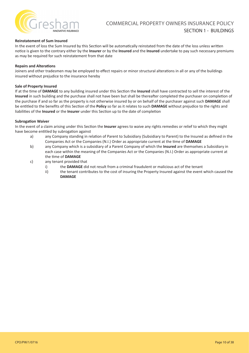

#### **Reinstatement of Sum Insured**

In the event of loss the Sum Insured by this Section will be automatically reinstated from the date of the loss unless written notice is given to the contrary either by the **Insurer** or by the **Insured** and the **Insured** undertake to pay such necessary premiums as may be required for such reinstatement from that date

#### **Repairs and Alterations**

Joiners and other tradesmen may be employed to effect repairs or minor structural alterations in all or any of the buildings insured without prejudice to the insurance hereby

#### **Sale of Property Insured**

If at the time of **DAMAGE** to any building insured under this Section the **Insured** shall have contracted to sell the interest of the **Insured** in such building and the purchase shall not have been but shall be thereafter completed the purchaser on completion of the purchase if and so far as the property is not otherwise insured by or on behalf of the purchaser against such **DAMAGE** shall be entitled to the benefits of this Section of the **Policy** so far as it relates to such **DAMAGE** without prejudice to the rights and liabilities of the **Insured** or the **Insurer** under this Section up to the date of completion

#### **Subrogation Waiver**

In the event of a claim arising under this Section the **Insurer** agrees to waive any rights remedies or relief to which they might have become entitled by subrogation against

- a) any Company standing in relation of Parent to Subsidiary (Subsidiary to Parent) to the Insured as defined in the Companies Act or the Companies (N.I.) Order as appropriate current at the time of **DAMAGE**
- b) any Company which is a subsidiary of a Parent Company of which the **Insured** are themselves a Subsidiary in each case within the meaning of the Companies Act or the Companies (N.I.) Order as appropriate current at the time of **DAMAGE**
- c) any tenant provided that
	- i) the **DAMAGE** did not result from a criminal fraudulent or malicious act of the tenant
	- ii) the tenant contributes to the cost of insuring the Property Insured against the event which caused the **DAMAGE**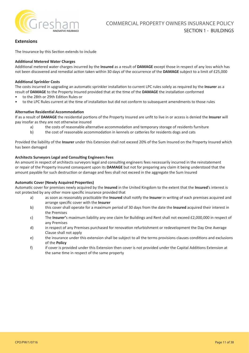

# **Extensions**

The Insurance by this Section extends to include

#### **Additional Metered Water Charges**

Additional metered water charges incurred by the **Insured** as a result of **DAMAGE** except those in respect of any loss which has not been discovered and remedial action taken within 30 days of the occurrence of the **DAMAGE** subject to a limit of £25,000

#### **Additional Sprinkler Costs**

The costs incurred in upgrading an automatic sprinkler installation to current LPC rules solely as required by the **Insurer** as a result of **DAMAGE** to the Property Insured provided that at the time of the **DAMAGE** the installation conformed

- to the 28th or 29th Edition Rules or
- to the LPC Rules current at the time of installation but did not conform to subsequent amendments to those rules

#### **Alternative Residential Accommodation**

If as a result of **DAMAGE** the residential portions of the Property Insured are unfit to live in or access is denied the **Insurer** will pay insofar as they are not otherwise insured

- a) the costs of reasonable alternative accommodation and temporary storage of residents furniture
- b) the cost of reasonable accommodation in kennels or catteries for residents dogs and cats

Provided the liability of the **Insurer** under this Extension shall not exceed 20% of the Sum Insured on the Property Insured which has been damaged

#### **Architects Surveyors Legal and Consulting Engineers Fees**

An amount in respect of architects surveyors legal and consulting engineers fees necessarily incurred in the reinstatement or repair of the Property Insured consequent upon its **DAMAGE** but not for preparing any claim it being understood that the amount payable for such destruction or damage and fees shall not exceed in the aggregate the Sum Insured

#### **Automatic Cover (Newly Acquired Properties)**

Automatic cover for premises newly acquired by the **Insured** in the United Kingdom to the extent that the **Insured**'s interest is not protected by any other more specific insurance provided that

- a) as soon as reasonably practicable the **Insured** shall notify the **Insurer** in writing of each premises acquired and arrange specific cover with the **Insurer**
- b) this cover shall operate for a maximum period of 30 days from the date the **Insured** acquired their interest in the Premises
- c) The **Insurer'**s maximum liability any one claim for Buildings and Rent shall not exceed £2,000,000 in respect of any Premises
- d) in respect of any Premises purchased for renovation refurbishment or redevelopment the Day One Average Clause shall not apply
- e) the insurance under this extension shall be subject to all the terms provisions clauses conditions and exclusions of the **Policy**
- f) if cover is provided under this Extension then cover is not provided under the Capital Additions Extension at the same time in respect of the same property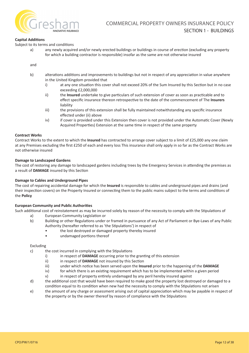

#### **Capital Additions**

Subject to its terms and conditions

a) any newly acquired and/or newly erected buildings or buildings in course of erection (excluding any property for which a building contractor is responsible) insofar as the same are not otherwise insured

and

- b) alterations additions and improvements to buildings but not in respect of any appreciation in value anywhere in the United Kingdom provided that
	- i) at any one situation this cover shall not exceed 20% of the Sum Insured by this Section but in no case exceeding £2,000,000
	- ii) the **Insured** undertake to give particulars of such extension of cover as soon as practicable and to effect specific insurance thereon retrospective to the date of the commencement of The **Insurers** liability
	- iii) the provisions of this extension shall be fully maintained notwithstanding any specific insurance effected under (ii) above
	- iv) if cover is provided under this Extension then cover is not provided under the Automatic Cover (Newly Acquired Properties) Extension at the same time in respect of the same property

#### **Contract Works**

Contract Works to the extent to which the **Insured** has contracted to arrange cover subject to a limit of £25,000 any one claim at any Premises excluding the first £250 of each and every loss This insurance shall only apply in so far as the Contract Works are not otherwise insured

#### **Damage to Landscaped Gardens**

The cost of restoring any damage to landscaped gardens including trees by the Emergency Services in attending the premises as a result of **DAMAGE** insured by this Section

#### **Damage to Cables and Underground Pipes**

The cost of repairing accidental damage for which the **Insured** is responsible to cables and underground pipes and drains (and their inspection covers) on the Property Insured or connecting them to the public mains subject to the terms and conditions of the **Policy**

#### **European Community and Public Authorities**

Such additional cost of reinstatement as may be incurred solely by reason of the necessity to comply with the Stipulations of

- a) European Community Legislation or
- b) Building or other Regulations under or framed in pursuance of any Act of Parliament or Bye-Laws of any Public Authority (hereafter referred to as 'the Stipulations') in respect of
	- the lost destroyed or damaged property thereby insured
	- undamaged portions thereof

#### Excluding

- c) the cost incurred in complying with the Stipulations
	- i) in respect of **DAMAGE** occurring prior to the granting of this extension
	- ii) in respect of **DAMAGE** not insured by this Section
	- iii) under which notice has been served upon the **Insured** prior to the happening of the **DAMAGE**
	- iv) for which there is an existing requirement which has to be implemented within a given period
	- v) in respect of property entirely undamaged by any peril hereby insured against
- d) the additional cost that would have been required to make good the property lost destroyed or damaged to a condition equal to its condition when new had the necessity to comply with the Stipulations not arisen
- e) the amount of any charge or assessment arising out of capital appreciation which may be payable in respect of the property or by the owner thereof by reason of compliance with the Stipulations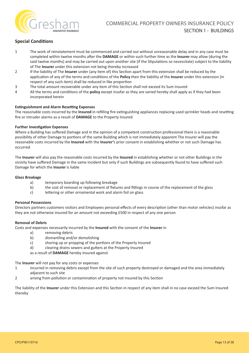

# **Special Conditions**

- 1 The work of reinstatement must be commenced and carried out without unreasonable delay and in any case must be completed within twelve months after the **DAMAGE** or within such further time as the **Insurer** may allow (during the said twelve months) and may be carried out upon another site (if the Stipulations so necessitate) subject to the liability of The **Insurer** under this extension not being thereby increased
- 2 If the liability of The **Insurer** under (any item of) this Section apart from this extension shall be reduced by the application of any of the terms and conditions of the **Policy** then the liability of the **Insurer** under this extension (in respect of any such item) shall be reduced in like proportion
- 3 The total amount recoverable under any item of this Section shall not exceed its Sum Insured
- 4 All the terms and conditions of the **policy** except insofar as they are varied hereby shall apply as if they had been incorporated herein

#### **Extinguishment and Alarm Resetting Expenses**

The reasonable costs incurred by the **Insured** in refilling fire extinguishing appliances replacing used sprinkler heads and resetting fire or intruder alarms as a result of **DAMAGE** to the Property Insured

#### **Further Investigation Expenses**

Where a Building has suffered Damage and in the opinion of a competent construction professional there is a reasonable possibility of other Damage to portions of the same Building which is not immediately apparent The Insurer will pay the reasonable costs incurred by the **Insured** with the **Insurer'**s prior consent in establishing whether or not such Damage has occurred

The **Insurer** will also pay the reasonable costs incurred by the **Insured** in establishing whether or not other Buildings in the vicinity have suffered Damage in the same incident but only if such Buildings are subsequently found to have suffered such Damage for which the **Insurer** is liable

#### **Glass Breakage**

- a) temporary boarding up following breakage
- b) the cost of removal or replacement of fixtures and fittings in course of the replacement of the glass
- c) lettering or other ornamental work and alarm foil on glass

#### **Personal Possessions**

Directors partners customers visitors and Employees personal effects of every description (other than motor vehicles) insofar as they are not otherwise insured for an amount not exceeding £500 in respect of any one person

#### **Removal of Debris**

Costs and expenses necessarily incurred by the **Insured** with the consent of the **Insurer** in

- a) removing debris
- b) dismantling and/or demolishing
- c) shoring up or propping of the portions of the Property Insured
- d) clearing drains sewers and gutters at the Property Insured

as a result of **DAMAGE** hereby insured against

The **Insurer** will not pay for any costs or expenses

- 1 incurred in removing debris except from the site of such property destroyed or damaged and the area immediately adjacent to such site
- 2 arising from pollution or contamination of property not insured by this Section

The liability of the **Insurer** under this Extension and this Section in respect of any item shall in no case exceed the Sum Insured thereby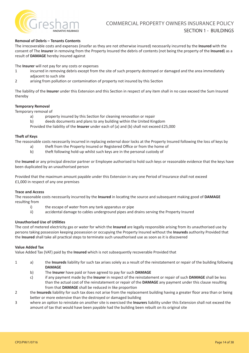

#### **Removal of Debris – Tenants Contents**

The irrecoverable costs and expenses (insofar as they are not otherwise insured) necessarily incurred by the **Insured** with the consent of The **Insurer** in removing from the Property Insured the debris of contents (not being the property of the **Insured**) as a result of **DAMAGE** hereby insured against

The **Insurer** will not pay for any costs or expenses

- 1 incurred in removing debris except from the site of such property destroyed or damaged and the area immediately adjacent to such site
- 2 arising from pollution or contamination of property not insured by this Section

The liability of the **Insurer** under this Extension and this Section in respect of any item shall in no case exceed the Sum Insured thereby

#### **Temporary Removal**

Temporary removal of

- a) property insured by this Section for cleaning renovation or repair
	- b) deeds documents and plans to any building within the United Kingdom

Provided the liability of the **Insurer** under each of (a) and (b) shall not exceed £25,000

#### **Theft of Keys**

The reasonable costs necessarily incurred in replacing external door locks at the Property Insured following the loss of keys by

- a) theft from the Property Insured or Registered Office or from the home of
- b) theft following hold-up whilst such keys are in the personal custody of

the **Insured** or any principal director partner or Employee authorised to hold such keys or reasonable evidence that the keys have been duplicated by an unauthorised person

Provided that the maximum amount payable under this Extension in any one Period of Insurance shall not exceed £1,000 in respect of any one premises

#### **Trace and Access**

The reasonable costs necessarily incurred by the **Insured** in locating the source and subsequent making good of **DAMAGE** resulting from

- i) the escape of water from any tank apparatus or pipe
- ii) accidental damage to cables underground pipes and drains serving the Property Insured

#### **Unauthorised Use of Utilities**

The cost of metered electricity gas or water for which the **Insured** are legally responsible arising from its unauthorised use by persons taking possession keeping possession or occupying the Property Insured without the **Insureds** authority Provided that the **Insured** shall take all practical steps to terminate such unauthorised use as soon as it is discovered

#### **Value Added Tax**

Value Added Tax (VAT) paid by the **Insured** which is not subsequently recoverable Provided that

- 1 a) the **Insureds** liability for such tax arises solely as a result of the reinstatement or repair of the building following **DAMAGE**
	- b) The **Insurer** have paid or have agreed to pay for such **DAMAGE**
	- c) if any payment made by the **Insurer** in respect of the reinstatement or repair of such **DAMAGE** shall be less than the actual cost of the reinstatement or repair of the **DAMAGE** any payment under this clause resulting from that **DAMAGE** shall be reduced in like proportion
- 2 the **Insureds** liability for such tax does not arise from the replacement building having a greater floor area than or being better or more extensive than the destroyed or damaged building
- 3 where an option to reinstate on another site is exercised the **Insurers** liability under this Extension shall not exceed the amount of tax that would have been payable had the building been rebuilt on its original site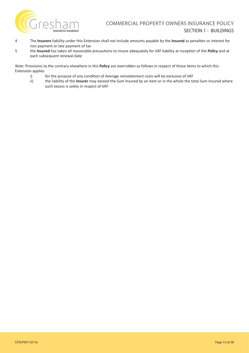

- 4 The **Insurers** liability under this Extension shall not include amounts payable by the **Insured** as penalties or interest for non payment or late payment of tax
- 5 the **Insured** has taken all reasonable precautions to insure adequately for VAT liability at inception of the **Policy** and at each subsequent renewal date

*Note:* Provisions to the contrary elsewhere in this **Policy** are overridden as follows in respect of those items to which this Extension applies

- i) for the purpose of any condition of Average reinstatement costs will be exclusive of VAT
- ii) the liability of the **Insurer** may exceed the Sum Insured by an item or in the whole the total Sum Insured where such excess is solely in respect of VAT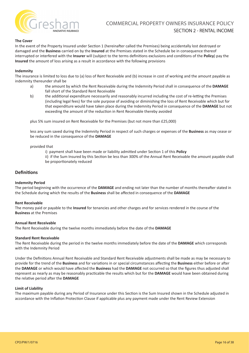

# COMMERCIAL PROPERTY OWNERS INSURANCE POLICY SECTION 2 - RENTAL INCOME

#### **The Cover**

In the event of the Property Insured under Section 1 (hereinafter called the Premises) being accidentally lost destroyed or damaged and the **Business** carried on by the **Insured** at the Premises stated in the Schedule be in consequence thereof interrupted or interfered with the **Insurer** will (subject to the terms definitions exclusions and conditions of the **Policy**) pay the **Insured** the amount of loss arising as a result in accordance with the following provisions

#### **Indemnity**

The insurance is limited to loss due to (a) loss of Rent Receivable and (b) increase in cost of working and the amount payable as indemnity thereunder shall be

- a) the amount by which the Rent Receivable during the Indemnity Period shall in consequence of the **DAMAGE** fall short of the Standard Rent Receivable
- b) the additional expenditure necessarily and reasonably incurred including the cost of re-letting the Premises (including legal fees) for the sole purpose of avoiding or diminishing the loss of Rent Receivable which but for that expenditure would have taken place during the Indemnity Period in consequence of the **DAMAGE** but not exceeding the amount of the reduction in Rent Receivable thereby avoided

plus 5% sum insured on Rent Receivable for the Premises (but not more than £25,000)

less any sum saved during the Indemnity Period in respect of such charges or expenses of the **Business** as may cease or be reduced in the consequence of the **DAMAGE**

provided that

- i) payment shall have been made or liability admitted under Section 1 of this **Policy**
- ii) if the Sum Insured by this Section be less than 300% of the Annual Rent Receivable the amount payable shall be proportionately reduced

# **Definitions**

#### **Indemnity Period**

The period beginning with the occurrence of the **DAMAGE** and ending not later than the number of months thereafter stated in the Schedule during which the results of the **Business** shall be affected in consequence of the **DAMAGE**

#### **Rent Receivable**

The money paid or payable to the **Insured** for tenancies and other charges and for services rendered in the course of the **Business** at the Premises

#### **Annual Rent Receivable**

The Rent Receivable during the twelve months immediately before the date of the **DAMAGE**

#### **Standard Rent Receivable**

The Rent Receivable during the period in the twelve months immediately before the date of the **DAMAGE** which corresponds with the Indemnity Period

Under the Definitions Annual Rent Receivable and Standard Rent Receivable adjustments shall be made as may be necessary to provide for the trend of the **Business** and for variations in or special circumstances affecting the **Business** either before or after the **DAMAGE** or which would have affected the **Business** had the **DAMAGE** not occurred so that the figures thus adjusted shall represent as nearly as may be reasonably practicable the results which but for the **DAMAGE** would have been obtained during the relative period after the **DAMAGE**

#### **Limit of Liability**

The maximum payable during any Period of Insurance under this Section is the Sum Insured shown in the Schedule adjusted in accordance with the Inflation Protection Clause if applicable plus any payment made under the Rent Review Extension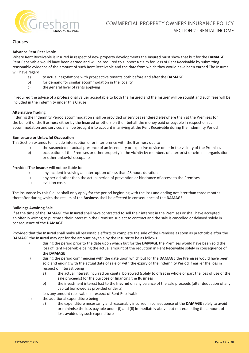

## **Clauses**

#### **Advance Rent Receivable**

Where Rent Receivable is insured in respect of new property developments the **Insured** must show that but for the **DAMAGE** Rent Receivable would have been earned and will be required to support a claim for Loss of Rent Receivable by submitting reasonable evidence of the amount of such Rent Receivable and the date from which they would have been earned The Insurer will have regard

- a) to actual negotiations with prospective tenants both before and after the **DAMAGE**
- b) for demand for similar accommodation in the locality
- c) the general level of rents applying

If required the advice of a professional valuer acceptable to both the **Insured** and the **Insurer** will be sought and such fees will be included in the indemnity under this Clause

#### **Alternative Trading**

If during the Indemnity Period accommodation shall be provided or services rendered elsewhere than at the Premises for the benefit of the **Business** either by the **Insured** or others on their behalf the money paid or payable in respect of such accommodation and services shall be brought into account in arriving at the Rent Receivable during the Indemnity Period

#### **Bombscare or Unlawful Occupation**

This Section extends to include interruption of or interference with the **Business** due to

- a) the suspected or actual presence of an incendiary or explosive device on or in the vicinity of the Premises
- b) occupation of the Premises or other property in the vicinity by members of a terrorist or criminal organisation or other unlawful occupants

Provided The **Insurer** will not be liable for

- i) any incident involving an interruption of less than 48 hours duration
- ii) any period other than the actual period of prevention or hindrance of access to the Premises
- iii) eviction costs

The insurance by this Clause shall only apply for the period beginning with the loss and ending not later than three months thereafter during which the results of the **Business** shall be affected in consequence of the **DAMAGE**

#### **Buildings Awaiting Sale**

If at the time of the **DAMAGE** the **Insured** shall have contracted to sell their interest in the Premises or shall have accepted an offer in writing to purchase their interest in the Premises subject to contract and the sale is cancelled or delayed solely in consequence of the **DAMAGE**

Provided that the **Insured** shall make all reasonable efforts to complete the sale of the Premises as soon as practicable after the **DAMAGE** the **Insured** may opt for the amount payable by the **Insurer** to be as follows

- i) during the period prior to the date upon which but for the **DAMAGE** the Premises would have been sold the loss of Rent Receivable being the actual amount of the reduction in Rent Receivable solely in consequence of the **DAMAGE**
- ii) during the period commencing with the date upon which but for the **DAMAGE** the Premises would have been sold and ending with the actual date of sale or with the expiry of the Indemnity Period if earlier the loss in respect of interest being
	- a) the actual interest incurred on capital borrowed (solely to offset in whole or part the loss of use of the sale proceeds) for the purpose of financing the **Business**
	- b) the investment interest lost to the **Insured** on any balance of the sale proceeds (after deduction of any capital borrowed as provided under a)
	- less any amount receivable in respect of Rent Receivable
- iii) the additional expenditure being
	- a) the expenditure necessarily and reasonably incurred in consequence of the **DAMAGE** solely to avoid or minimise the loss payable under (i) and (ii) immediately above but not exceeding the amount of loss avoided by such expenditure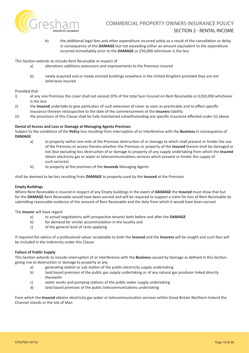

# COMMERCIAL PROPERTY OWNERS INSURANCE POLICY SECTION 2 - RENTAL INCOME

b) the additional legal fees and other expenditure incurred solely as a result of the cancellation or delay in consequence of the **DAMAGE** but not exceeding either an amount equivalent to the expenditure incurred immediately prior to the **DAMAGE** or £50,000 whichever is the less

This Section extends to include Rent Receivable in respect of

- a) alterations additions extensions and improvements to the Premises insured
- b) newly acquired and or newly erected buildings anywhere in the United Kingdom provided they are not otherwise insured

#### Provided that

- i) at any one Premises the cover shall not exceed 20% of the total Sum Insured on Rent Receivable or £250,000 whichever is the less
- ii) the **Insured** undertake to give particulars of such extension of cover as soon as practicable and to effect specific insurance thereon retrospective to the date of the commencement of the **Insurers** liability
- iii) the provisions of this Clause shall be fully maintained notwithstanding any specific insurance effected under (ii) above

#### **Denial of Access and Loss or Damage at Managing Agents Premises**

Subject to the conditions of the **Policy** loss resulting from interruption of or interference with the **Business** in consequence of **DAMAGE**

- a) to property within one mile of the Premises destruction of or damage to which shall prevent or hinder the use of the Premises or access thereto whether the Premises or property of the **Insured** therein shall be damaged or not (but excluding loss destruction of or damage to property of any supply undertaking from which the **Insured** obtain electricity gas or water or telecommunications services which prevent or hinder the supply of such services)
- b) to property at the premises of the **Insureds** Managing Agents

shall be deemed to be loss resulting from **DAMAGE** to property used by the **Insured** at the Premises

#### **Empty Buildings**

Where Rent Receivable is insured in respect of any Empty buildings in the event of **DAMAGE** the **Insured** must show that but for the **DAMAGE** Rent Receivable would have been earned and will be required to support a claim for loss of Rent Receivable by submitting reasonable evidence of the amount of Rent Receivable and the date from which it would have been earned

The **Insurer** will have regard

- a) to actual negotiations with prospective tenants both before and after the **DAMAGE**
- b) for demand for similar accommodation in the locality and
- c) of the general level of rents applying

If required the advice of a professional valuer acceptable to both the **Insured** and the **Insurers** will be sought and such fees will be included in the indemnity under this Clause

#### **Failure of Public Supply**

This Section extends to include interruption of or interference with the **Business** caused by Damage as defined in this Section giving rise to destruction or damage to property at any

- a) generating station or sub station of the public electricity supply undertaking
- b) land based premises of the public gas supply undertaking or of any natural gas producer linked directly therewith
- c) water works and pumping stations of the public water supply undertaking
- d) land based premises of the public telecommunications undertaking

from which the **Insured** obtains electricity gas water or telecommunication services within Great Britain Northern Ireland the Channel Islands or the Isle of Man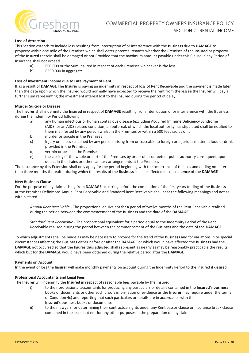

#### **Loss of Attraction**

This Section extends to include loss resulting from interruption of or interference with the **Business** due to **DAMAGE** to property within one mile of the Premises which shall deter potential tenants whether the Premises of the **Insured** or property of the **Insured** therein shall be damaged or not Provided that the maximum amount payable under this Clause in any Period of Insurance shall not exceed

- a) £50,000 or the Sum Insured in respect of each Premises whichever is the less
- b) £250,000 in aggregate

#### **Loss of Investment Income due to Late Payment of Rent**

If as a result of **DAMAGE** The **Insurer** is paying an indemnity in respect of loss of Rent Receivable and the payment is made later than the date upon which the **Insured** would normally have expected to receive the rent from the lessee the **Insurer** will pay a further sum representing the investment interest lost to the **Insured** during the period of delay

#### **Murder Suicide or Disease**

The **Insurer** shall indemnify the **Insured** in respect of **DAMAGE** resulting from interruption of or interference with the Business during the Indemnity Period following

- a) any human infectious or human contagious disease (excluding Acquired Immune Deficiency Syndrome (AIDS) or an AIDS related condition) an outbreak of which the local authority has stipulated shall be notified to them manifested by any person whilst in the Premises or within a 500 feet radius of it
- b) murder or suicide in the Premises
- c) Injury or illness sustained by any person arising from or traceable to foreign or injurious matter in food or drink provided in the Premises
- d) vermin or pests in the Premises
- e) the closing of the whole or part of the Premises by order of a competent public authority consequent upon defect in the drains or other sanitary arrangements at the Premises

The Insurance by this Extension shall only apply for the period beginning with the occurrence of the loss and ending not later than three months thereafter during which the results of the **Business** shall be affected in consequence of the **DAMAGE**

#### **New Business Clause**

For the purpose of any claim arising from **DAMAGE** occurring before the completion of the first years trading of the **Business** at the Premises Definitions Annual Rent Receivable and Standard Rent Receivable shall bear the following meanings and not as within stated

*Annual Rent Receivable* - The proportional equivalent for a period of twelve months of the Rent Receivable realised during the period between the commencement of the **Business** and the date of the **DAMAGE**

*Standard Rent Receivable* - The proportional equivalent for a period equal to the Indemnity Period of the Rent Receivable realised during the period between the commencement of the **Business** and the date of the **DAMAGE**

To which adjustments shall be made as may be necessary to provide for the trend of the **Business** and for variations in or special circumstances affecting the **Business** either before or after the **DAMAGE** or which would have affected the **Business** had the **DAMAGE** not occurred so that the figures thus adjusted shall represent as nearly as may be reasonably practicable the results which but for the **DAMAGE** would have been obtained during the relative period after the **DAMAGE**

#### **Payments on Account**

In the event of loss the **Insurer** will make monthly payments on account during the Indemnity Period to the Insured if desired

#### **Professional Accountants and Legal Fees**

The **Insurer** will indemnify the **Insured** in respect of reasonable fees payable by the **Insured**

- i) to their professional accountants for producing any particulars or details contained in the **Insured'**s **business**  books or documents or other such proofs information or evidence as the **Insurer** may require under the terms of Condition 4c) and reporting that such particulars or details are in accordance with the **Insured**'s business books or documents
- ii) to their lawyers for determining their contractual rights under any Rent cessor clause or insurance break clause contained in the lease but not for any other purposes in the preparation of any claim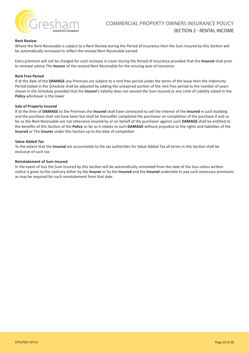

#### **Rent Review**

Where the Rent Receivable is subject to a Rent Review during the Period of Insurance then the Sum Insured by this Section will be automatically increased to reflect the revised Rent Receivable earned

Extra premium will not be charged for such increase in cover during the Period of Insurance provided that the **Insured** shall prior to renewal advise The **Insurer** of the revised Rent Receivable for the ensuing year of insurance

#### **Rent Free Period**

If at the date of the **DAMAGE** any Premises are subject to a rent free period under the terms of the lease then the Indemnity Period stated in the Schedule shall be adjusted by adding the unexpired portion of the rent free period to the number of years shown in the Schedule provided that the **Insurer**'s liability does not exceed the Sum Insured or any Limit of Liability stated in the **Policy** whichever is the lower

#### **Sale of Property Insured**

If at the time of **DAMAGE** to the Premises the **Insured** shall have contracted to sell the interest of the **Insured** in such building and the purchase shall not have been but shall be thereafter completed the purchaser on completion of the purchase if and so far as the Rent Receivable are not otherwise insured by or on behalf of the purchaser against such **DAMAGE** shall be entitled to the benefits of this Section of the **Policy** so far as it relates to such **DAMAGE** without prejudice to the rights and liabilities of the **Insured** or The **Insurer** under this Section up to the date of completion

#### **Value Added Tax**

To the extent that the **Insured** are accountable to the tax authorities for Value Added Tax all terms in this Section shall be exclusive of such tax

#### **Reinstatement of Sum Insured**

In the event of loss the Sum Insured by this Section will be automatically reinstated from the date of the loss unless written notice is given to the contrary either by the **Insurer** or by the **Insured** and the **Insured** undertake to pay such necessary premiums as may be required for such reinstatement from that date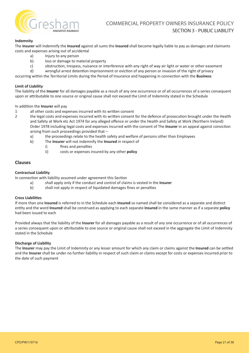

#### **Indemnity**

The **Insurer** will Indemnify the **Insured** against all sums the **Insured** shall become legally liable to pay as damages and claimants costs and expenses arising out of accidental

- a) Injury to any person
- b) loss or damage to material property
- c) obstruction, trespass, nuisance or interference with any right of way air light or water or other easement
- d) wrongful arrest detention imprisonment or eviction of any person or invasion of the right of privacy

occurring within the Territorial Limits during the Period of Insurance and happening in connection with the **Business**

#### **Limit of Liability**

The liability of the **Insurer** for all damages payable as a result of any one occurrence or of all occurrences of a series consequent upon or attributable to one source or original cause shall not exceed the Limit of Indemnity stated in the Schedule

In addition the **Insurer** will pay

- 1 all other costs and expenses incurred with its written consent
- 2 the legal costs and expenses incurred with its written consent for the defence of prosecution brought under the Health and Safety at Work etc Act 1974 for any alleged offence or under the Health and Safety at Work (Northern Ireland) Order 1978 including legal costs and expenses incurred with the consent of The **Insurer** in an appeal against conviction arising from such proceedings provided that –
	- a) the proceedings relate to the health safety and welfare of persons other than Employees
	- b) The **Insurer** will not indemnify the **Insured** in respect of
		- i) fines and penalties
		- ii) costs or expenses insured by any other **policy**

#### **Clauses**

#### **Contractual Liability**

In connection with liability assumed under agreement this Section

- a) shall apply only if the conduct and control of claims is vested in the **Insurer**
- b) shall not apply in respect of liquidated damages fines or penalties

#### **Cross Liabilities**

If more than one **Insured** is referred to in the Schedule each **Insured** so named shall be considered as a separate and distinct entity and the word **Insured** shall be construed as applying to each separate **Insured** in the same manner as if a separate **policy** had been issued to each

Provided always that the liability of the **Insurer** for all damages payable as a result of any one occurrence or of all occurrences of a series consequent upon or attributable to one source or original cause shall not exceed in the aggregate the Limit of Indemnity stated in the Schedule

#### **Discharge of Liability**

The **Insurer** may pay the Limit of Indemnity or any lesser amount for which any claim or claims against the **Insured** can be settled and the **Insurer** shall be under no further liability in respect of such claim or claims except for costs or expenses incurred prior to the date of such payment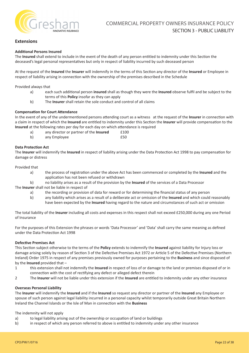

# **Extensions**

#### **Additional Persons Insured**

The **Insured** shall extend to include in the event of the death of any person entitled to indemnity under this Section the deceased's legal personal representatives but only in respect of liability incurred by such deceased person

At the request of the **Insured** the **Insurer** will indemnify in the terms of this Section any director of the **Insured** or Employee in respect of liability arising in connection with the ownership of the premises described in the Schedule

Provided always that

- a) each such additional person **insured** shall as though they were the **Insured** observe fulfil and be subject to the terms of this **Policy** insofar as they can apply
- b) The **Insurer** shall retain the sole conduct and control of all claims

#### **Compensation for Court Attendance**

In the event of any of the undermentioned persons attending court as a witness at the request of the **Insurer** in connection with a claim in respect of which the **Insured** are entitled to indemnity under this Section the **Insurer** will provide compensation to the **Insured** at the following rates per day for each day on which attendance is required

- a) any director or partner of the **Insured** £100
- b) any Employee **E50**

#### **Data Protection Act**

The **Insurer** will indemnify the **Insured** in respect of liability arising under the Data Protection Act 1998 to pay compensation for damage or distress

#### Provided that

- a) the process of registration under the above Act has been commenced or completed by the **Insured** and the application has not been refused or withdrawn
- b) no liability arises as a result of the provision by the **Insured** of the services of a Data Processor

The **Insurer** shall not be liable in respect of

- a) the recording or provision of data for reward or for determining the financial status of any person
- b) any liability which arises as a result of a deliberate act or omission of the **Insured** and which could reasonably have been expected by the **Insured** having regard to the nature and circumstances of such act or omission

The total liability of the **Insurer** including all costs and expenses in this respect shall not exceed £250,000 during any one Period of Insurance

For the purposes of this Extension the phrases or words 'Data Processor' and 'Data' shall carry the same meaning as defined under the Data Protection Act 1998

#### **Defective Premises Act**

This Section subject otherwise to the terms of the **Policy** extends to indemnify the **Insured** against liability for Injury loss or damage arising solely by reason of Section 3 of the Defective Premises Act 1972 or Article 5 of the Defective Premises (Northern Ireland) Order 1975 in respect of any premises previously owned for purposes pertaining to the **Business** and since disposed of by the **Insured** provided that –

- 1 this extension shall not indemnify the **Insured** in respect of loss of or damage to the land or premises disposed of or in connection with the cost of rectifying any defect or alleged defect therein
- 2 The **Insurer** will not be liable under this extension if the **Insured** are entitled to indemnity under any other insurance

#### **Overseas Personal Liability**

The **Insurer** will indemnify the **Insured** and if the **Insured** so request any director or partner of the **Insured** any Employee or spouse of such person against legal liability incurred in a personal capacity whilst temporarily outside Great Britain Northern Ireland the Channel Islands or the Isle of Man in connection with the **Business**

#### The indemnity will not apply

- a) to legal liability arising out of the ownership or occupation of land or buildings
- b) in respect of which any person referred to above is entitled to indemnity under any other insurance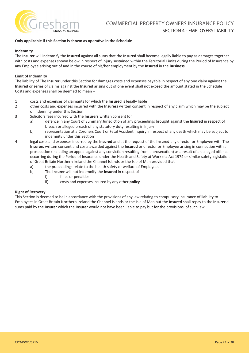

#### **Only applicable if this Section is shown as operative in the Schedule**

#### **Indemnity**

The **Insurer** will indemnify the **Insured** against all sums that the **Insured** shall become legally liable to pay as damages together with costs and expenses shown below in respect of Injury sustained within the Territorial Limits during the Period of Insurance by any Employee arising out of and in the course of his/her employment by the **Insured** in the **Business**

#### **Limit of Indemnity**

The liability of The **Insurer** under this Section for damages costs and expenses payable in respect of any one claim against the **Insured** or series of claims against the **Insured** arising out of one event shall not exceed the amount stated in the Schedule Costs and expenses shall be deemed to mean –

- 1 costs and expenses of claimants for which the **Insured** is legally liable
- 2 other costs and expenses incurred with the **Insurers** written consent in respect of any claim which may be the subject of indemnity under this Section
- 3 Solicitors fees incurred with the **Insurers** written consent for
	- a) defence in any Court of Summary Jurisdiction of any proceedings brought against the **Insured** in respect of breach or alleged breach of any statutory duty resulting in Injury
	- b) representation at a Coroners Court or Fatal Accident Inquiry in respect of any death which may be subject to indemnity under this Section
- 4 legal costs and expenses incurred by the **Insured** and at the request of the **Insured** any director or Employee with The **Insurers** written consent and costs awarded against the **Insured** or director or Employee arising in connection with a prosecution (including an appeal against any conviction resulting from a prosecution) as a result of an alleged offence occurring during the Period of Insurance under the Health and Safety at Work etc Act 1974 or similar safety legislation of Great Britain Northern Ireland the Channel Islands or the Isle of Man provided that
	- a) the proceedings relate to the health safety or welfare of Employees
	- b) The **Insurer** will not indemnify the **Insured** in respect of
		- i) fines or penalties
		- ii) costs and expenses insured by any other **policy**

#### **Right of Recovery**

This Section is deemed to be in accordance with the provisions of any law relating to compulsory insurance of liability to Employees in Great Britain Northern Ireland the Channel Islands or the Isle of Man but the **Insured** shall repay to the **Insurer** all sums paid by the **Insurer** which the **Insurer** would not have been liable to pay but for the provisions of such law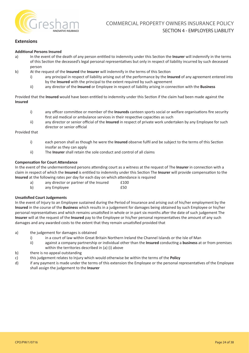

# **Extensions**

#### **Additional Persons Insured**

- a) In the event of the death of any person entitled to indemnity under this Section the **Insurer** will indemnify in the terms of this Section the deceased's legal personal representatives but only in respect of liability incurred by such deceased person
- b) At the request of the **Insured** the **Insurer** will indemnify in the terms of this Section
	- i) any principal in respect of liability arising out of the performance by the **Insured** of any agreement entered into by the **Insured** with the principal to the extent required by such agreement
	- ii) any director of the **Insured** or Employee in respect of liability arising in connection with the **Business**

Provided that the **Insured** would have been entitled to indemnity under this Section if the claim had been made against the **Insured**

- i) any officer committee or member of the **Insureds** canteen sports social or welfare organisations fire security first aid medical or ambulance services in their respective capacities as such
- ii) any director or senior official of the **Insured** in respect of private work undertaken by any Employee for such director or senior official

Provided that

- i) each person shall as though he were the **Insured** observe fulfil and be subject to the terms of this Section insofar as they can apply
- ii) The **Insurer** shall retain the sole conduct and control of all claims

#### **Compensation for Court Attendance**

In the event of the undermentioned persons attending court as a witness at the request of The **Insurer** in connection with a claim in respect of which the **Insured** is entitled to indemnity under this Section The **Insurer** will provide compensation to the **Insured** at the following rates per day for each day on which attendance is required

- a) any director or partner of the Insured £100
- b) any Employee **E50**

#### **Unsatisfied Court Judgements**

In the event of Injury to an Employee sustained during the Period of Insurance and arising out of his/her employment by the **Insured** in the course of the **Business** which results in a judgement for damages being obtained by such Employee or his/her personal representatives and which remains unsatisfied in whole or in part six months after the date of such judgement The **Insurer** will at the request of the **Insured** pay to the Employee or his/her personal representatives the amount of any such damages and any awarded costs to the extent that they remain unsatisfied provided that

- a) the judgement for damages is obtained
	- i) in a court of law within Great Britain Northern Ireland the Channel Islands or the Isle of Man
	- ii) against a company partnership or individual other than the **Insured** conducting a **business** at or from premises within the territories described in (a) (i) above
- b) there is no appeal outstanding
- c) this judgement relates to Injury which would otherwise be within the terms of the **Policy**
- d) if any payment is made under the terms of this extension the Employee or the personal representatives of the Employee shall assign the judgement to the **Insurer**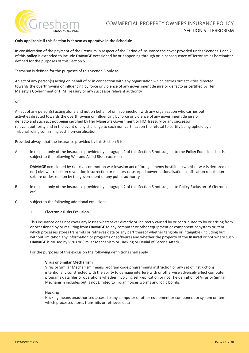

#### **Only applicable if this Section is shown as operative in the Schedule**

In consideration of the payment of the Premium in respect of the Period of Insurance the cover provided under Sections 1 and 2 of this **policy** is extended to include **DAMAGE** occasioned by or happening through or in consequence of Terrorism as hereinafter defined for the purposes of this Section 5

Terrorism is defined for the purposes of this Section 5 only as

An act of any person(s) acting on behalf of or in connection with any organisation which carries out activities directed towards the overthrowing or influencing by force or violence of any government de jure or de facto as certified by Her Majesty's Government or H M Treasury or any successor relevant authority

or

An act of any person(s) acting alone and not on behalf of or in connection with any organisation who carries out activities directed towards the overthrowing or influencing by force or violence of any government de jure or de facto and such act not being certified by Her Majesty's Government or HM Treasury or any successor relevant authority and in the event of any challenge to such non-certification the refusal to certify being upheld by a Tribunal ruling confirming such non-certification

Provided always that the insurance provided by this Section 5 is

A in respect only of the insurance provided by paragraph 1 of this Section 5 not subject to the **Policy** Exclusions but is subject to the following War and Allied Risks exclusion

**DAMAGE** occasioned by riot civil commotion war invasion act of foreign enemy hostilities (whether war is declared or not) civil war rebellion revolution insurrection or military or usurped power nationalisation confiscation requisition seizure or destruction by the government or any public authority

- B in respect only of the insurance provided by paragraph 2 of this Section 5 not subject to **Policy** Exclusion 16 (Terrorism etc)
- C subject to the following additional exclusions

#### 1 **Electronic Risks Exclusion**

This insurance does not cover any losses whatsoever directly or indirectly caused by or contributed to by or arising from or occasioned by or resulting from **DAMAGE** to any computer or other equipment or component or system or item which processes stores transmits or retrieves data or any part thereof whether tangible or intangible (including but without limitation any information or programs or software) and whether the property of the **Insured** or not where such **DAMAGE** is caused by Virus or Similar Mechanism or Hacking or Denial of Service Attack

For the purposes of this exclusion the following definitions shall apply

#### **Virus or Similar Mechanism**

Virus or Similar Mechanism means program code programming instruction or any set of instructions intentionally constructed with the ability to damage interfere with or otherwise adversely affect computer programs data files or operations whether involving self-replication or not The definition of Virus or Similar Mechanism includes but is not Limited to Trojan horses worms and logic bombs

#### **Hacking**

Hacking means unauthorised access to any computer or other equipment or component or system or item which processes stores transmits or retrieves data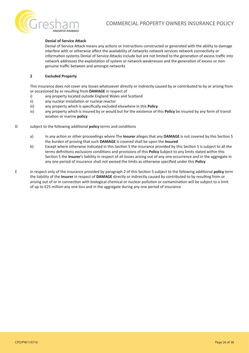

# **Denial of Service Attack**

Denial of Service Attack means any actions or instructions constructed or generated with the ability to damage interfere with or otherwise affect the availability of networks network services network connectivity or information systems Denial of Service Attacks include but are not limited to the generation of excess traffic into network addresses the exploitation of system or network weaknesses and the generation of excess or nongenuine traffic between and amongst networks

#### **2 Excluded Property**

This insurance does not cover any losses whatsoever directly or indirectly caused by or contributed to by or arising from or occasioned by or resulting from **DAMAGE** in respect of

- i) any property located outside England Wales and Scotland
- ii) any nuclear installation or nuclear reactor
- iii) any property which is specifically excluded elsewhere in this **Policy**
- iv) any property which is insured by or would but for the existence of this **Policy** be insured by any form of transit aviation or marine **policy**
- D subject to the following additional **policy** terms and conditions
	- a) In any action or other proceedings where The **Insurer** alleges that any **DAMAGE** is not covered by this Section 5 the burden of proving that such **DAMAGE** is covered shall be upon the **Insured**
	- b) Except where otherwise indicated in this Section 5 the insurance provided by this Section 5 is subject to all the terms definitions exclusions conditions and provisions of this **Policy** Subject to any limits stated within this Section 5 the **Insurer**'s liability in respect of all losses arising out of any one occurrence and in the aggregate in any one period of insurance shall not exceed the limits as otherwise specified under this **Policy**
- E in respect only of the insurance provided by paragraph 2 of this Section 5 subject to the following additional **policy** term the liability of the **Insurer** in respect of **DAMAGE** directly or indirectly caused by contributed to by resulting from or arising out of or in connection with biological chemical or nuclear pollution or contamination will be subject to a limit of up to £25 million any one loss and in the aggregate during any one period of insurance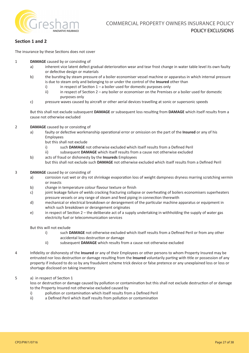

# **Section 1 and 2**

The insurance by these Sections does not cover

- 1 **DAMAGE** caused by or consisting of
	- a) inherent vice latent defect gradual deterioration wear and tear frost change in water table level its own faulty or defective design or materials
	- b) the bursting by steam pressure of a boiler economiser vessel machine or apparatus in which internal pressure is due to steam only and belonging to or under the control of the **Insured** other than
		- i) in respect of Section  $1 a$  boiler used for domestic purposes only
		- ii) in respect of Section 2 any boiler or economiser on the Premises or a boiler used for domestic purposes only
	- c) pressure waves caused by aircraft or other aerial devices travelling at sonic or supersonic speeds

But this shall not exclude subsequent **DAMAGE** or subsequent loss resulting from **DAMAGE** which itself results from a cause not otherwise excluded

- 2 **DAMAGE** caused by or consisting of
	- a) faulty or defective workmanship operational error or omission on the part of the **Insured** or any of his Employees
		- but this shall not exclude
		- i) such **DAMAGE** not otherwise excluded which itself results from a Defined Peril
		- ii) subsequent **DAMAGE** which itself results from a cause not otherwise excluded
	- b) acts of fraud or dishonesty by the **Insureds** Employees but this shall not exclude such **DAMAGE** not otherwise excluded which itself results from a Defined Peril

#### 3 **DAMAGE** caused by or consisting of

- a) corrosion rust wet or dry rot shrinkage evaporation loss of weight dampness dryness marring scratching vermin or insects
- b) change in temperature colour flavour texture or finish
- c) joint leakage failure of welds cracking fracturing collapse or overheating of boilers economisers superheaters pressure vessels or any range of steam and feed piping in connection therewith
- d) mechanical or electrical breakdown or derangement of the particular machine apparatus or equipment in which such breakdown or derangement originates
- e) in respect of Section 2 the deliberate act of a supply undertaking in withholding the supply of water gas electricity fuel or telecommunication services

But this will not exclude

- i) such **DAMAGE** not otherwise excluded which itself results from a Defined Peril or from any other accidental loss destruction or damage
- ii) subsequent **DAMAGE** which results from a cause not otherwise excluded
- 4 Infidelity or dishonesty of the **Insured** or any of their Employees or other persons to whom Property Insured may be entrusted nor loss destruction or damage resulting from the **Insured** voluntarily parting with title or possession of any property if induced to do so by any fraudulent scheme trick device or false pretence or any unexplained loss or loss or shortage disclosed on taking inventory

#### 5 a) in respect of Section 1

loss or destruction or damage caused by pollution or contamination but this shall not exclude destruction of or damage to the Property Insured not otherwise excluded caused by

- i) pollution or contamination which itself results from a Defined Peril
- ii) a Defined Peril which itself results from pollution or contamination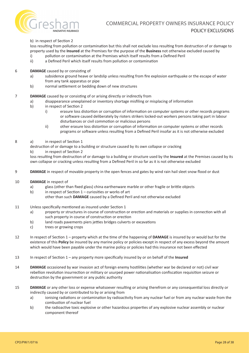

# COMMERCIAL PROPERTY OWNERS INSURANCE POLICY POLICY EXCLUSIONS

b) in respect of Section 2

loss resulting from pollution or contamination but this shall not exclude loss resulting from destruction of or damage to property used by the **Insured** at the Premises for the purpose of the **Business** not otherwise excluded caused by

- i) pollution or contamination at the Premises which itself results from a Defined Peril
- ii) a Defined Peril which itself results from pollution or contamination
- 6 **DAMAGE** caused by or consisting of
	- a) subsidence ground heave or landslip unless resulting from fire explosion earthquake or the escape of water from any tank apparatus or pipe
	- b) normal settlement or bedding down of new structures
- 7 **DAMAGE** caused by or consisting of or arising directly or indirectly from
	- a) disappearance unexplained or inventory shortage misfiling or misplacing of information
	- b) in respect of Section 2
		- i) erasure loss distortion or corruption of information on computer systems or other records programs or software caused deliberately by rioters strikers locked-out workers persons taking part in labour disturbances or civil commotion or malicious persons
		- ii) other erasure loss distortion or corruption of information on computer systems or other records programs or software unless resulting from a Defined Peril insofar as it is not otherwise excluded
- 8 a) in respect of Section 1
	- destruction of or damage to a building or structure caused by its own collapse or cracking
	- b) in respect of Section 2

loss resulting from destruction of or damage to a building or structure used by the **Insured** at the Premises caused by its own collapse or cracking unless resulting from a Defined Peril in so far as it is not otherwise excluded

- 9 **DAMAGE** in respect of movable property in the open fences and gates by wind rain hail sleet snow flood or dust
- 10 **DAMAGE** in respect of
	- a) glass (other than fixed glass) china earthenware marble or other fragile or brittle objects
	- b) in respect of Section 1 curiosities or works of art other than such **DAMAGE** caused by a Defined Peril and not otherwise excluded
- 11 Unless specifically mentioned as insured under Section 1
	- a) property or structures in course of construction or erection and materials or supplies in connection with all such property in course of construction or erection
	- b) land roads pavements piers jetties bridges culverts or excavations
	- c) trees or growing crops
- 12 In respect of Section 1 property which at the time of the happening of **DAMAGE** is insured by or would but for the existence of this **Policy** be insured by any marine policy or policies except in respect of any excess beyond the amount which would have been payable under the marine policy or policies had this insurance not been effected
- 13 In respect of Section 1 any property more specifically insured by or on behalf of the **Insured**
- 14 **DAMAGE** occasioned by war invasion act of foreign enemy hostilities (whether war be declared or not) civil war rebellion revolution insurrection or military or usurped power nationalisation confiscation requisition seizure or destruction by the government or any public authority
- 15 **DAMAGE** or any other loss or expense whatsoever resulting or arising therefrom or any consequential loss directly or indirectly caused by or contributed to by or arising from
	- a) ionising radiations or contamination by radioactivity from any nuclear fuel or from any nuclear waste from the combustion of nuclear fuel
	- b) the radioactive toxic explosive or other hazardous properties of any explosive nuclear assembly or nuclear component thereof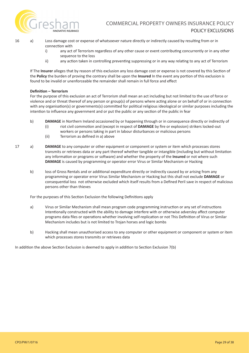

- 16 a) Loss damage cost or expense of whatsoever nature directly or indirectly caused by resulting from or in connection with
	- i) any act of Terrorism regardless of any other cause or event contributing concurrently or in any other sequence to the loss
	- ii) any action taken in controlling preventing suppressing or in any way relating to any act of Terrorism

If The **Insurer** alleges that by reason of this exclusion any loss damage cost or expense is not covered by this Section of the **Policy** the burden of proving the contrary shall be upon the **Insured** In the event any portion of this exclusion is found to be invalid or unenforceable the remainder shall remain in full force and effect

#### **Definition – Terrorism**

For the purpose of this exclusion an act of Terrorism shall mean an act including but not limited to the use of force or violence and or threat thereof of any person or group(s) of persons where acting alone or on behalf of or in connection with any organisation(s) or governments(s) committed for political religious ideological or similar purposes including the intention to influence any government and or put the public or any section of the public in fear

- b) **DAMAGE** in Northern Ireland occasioned by or happening through or in consequence directly or indirectly of
	- (i) riot civil commotion and (except in respect of **DAMAGE** by fire or explosion) strikers locked-out
		- workers or persons taking in part in labour disturbances or malicious persons
	- (ii) Terrorism as defined in a) above
- 17 a) **DAMAGE** to any computer or other equipment or component or system or item which processes stores transmits or retrieves data or any part thereof whether tangible or intangible (including but without limitation any information or programs or software) and whether the property of the **Insured** or not where such **DAMAGE** is caused by programming or operator error Virus or Similar Mechanism or Hacking
	- b) loss of Gross Rentals and or additional expenditure directly or indirectly caused by or arising from any programming or operator error Virus Similar Mechanism or Hacking but this shall not exclude **DAMAGE** or consequential loss not otherwise excluded which itself results from a Defined Peril save in respect of malicious persons other than thieves

For the purposes of this Section Exclusion the following Definitions apply

- a) Virus or Similar Mechanism shall mean program code programming instruction or any set of instructions Intentionally constructed with the ability to damage interfere with or otherwise adversley affect computer programs data files or operations whether involving self-replication or not This Definition of Virus or Similar Mechanism includes but is not limited to Trojan horses and logic bombs
- b) Hacking shall mean unauthorised access to any computer or other equipment or component or system or item which processes stores transmits or retrieves data

In addition the above Section Exclusion is deemed to apply in addition to Section Exclusion 7(b)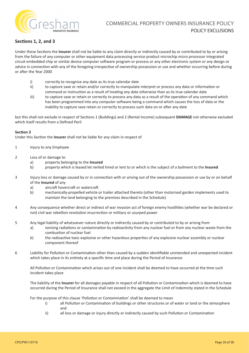

# **Sections 1, 2, and 3**

Under these Sections the **Insurer** shall not be liable to any claim directly or indirectly caused by or contributed to by or arising from the failure of any computer or other equipment data processing service product microchip micro processor integrated circuit embedded chip or similar device computer software program or process or any other electronic system or any design or advice in connection with any of the foregoing irrespective of ownership possession or use and whether occurring before during or after the Year 2000

- i) correctly to recognise any date as its true calendar date
- ii) to capture save or retain and/or correctly to manipulate interpret or process any data or information or command or instruction as a result of treating any date otherwise than as its true calendar date
- iii) to capture save or retain or correctly to process any data as a result of the operation of any command which has been programmed into any computer software being a command which causes the loss of data or the inability to capture save retain or correctly to process such data on or after any date

but this shall not exclude in respect of Sections 1 (Buildings) and 2 (Rental Income) subsequent **DAMAGE** not otherwise excluded which itself results from a Defined Peril

#### **Section 3**

Under this Section the **Insurer** shall not be liable for any claim in respect of

- 1 Injury to any Employee
- 2 Loss of or damage to
	- a) property belonging to the **Insured**
	- b) property which is leased let rented hired or lent to or which is the subject of a bailment to the **Insured**
- 3 Injury loss or damage caused by or in connection with or arising out of the ownership possession or use by or on behalf of the **Insured** of any
	- a) aircraft hovercraft or watercraft
	- b) mechanically-propelled vehicle or trailer attached thereto (other than motorised garden implements used to maintain the land belonging to the premises described in the Schedule)
- 4 Any consequence whether direct or indirect of war invasion act of foreign enemy hostilities (whether war be declared or not) civil war rebellion revolution insurrection or military or usurped power
- 5 Any legal liability of whatsoever nature directly or indirectly caused by or contributed to by or arising from
	- a) ionising radiations or contamination by radioactivity from any nuclear fuel or from any nuclear waste from the combustion of nuclear fuel
	- b) the radioactive toxic explosive or other hazardous properties of any explosive nuclear assembly or nuclear component thereof
- 6 Liability for Pollution or Contamination other than caused by a sudden identifiable unintended and unexpected incident which takes place in its entirety at a specific time and place during the Period of Insurance

All Pollution or Contamination which arises out of one incident shall be deemed to have occurred at the time such incident takes place

The liability of the **Insurer** for all damages payable in respect of all Pollution or Contamination which is deemed to have occurred during the Period of Insurance shall not exceed in the aggregate the Limit of Indemnity stated in the Schedule

For the purpose of this clause 'Pollution or Contamination' shall be deemed to mean

- i) all Pollution or Contamination of buildings or other structures or of water or land or the atmosphere and
- ii) all loss or damage or injury directly or indirectly caused by such Pollution or Contamination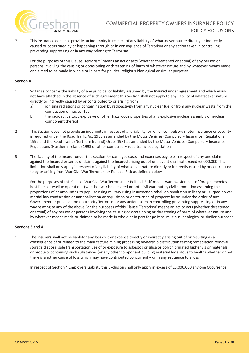

7 This insurance does not provide an indemnity in respect of any liability of whatsoever nature directly or indirectly caused or occasioned by or happening through or in consequence of Terrorism or any action taken in controlling preventing suppressing or in any way relating to Terrorism

For the purposes of this Clause 'Terrorism' means an act or acts (whether threatened or actual) of any person or persons involving the causing or occasioning or threatening of harm of whatever nature and by whatever means made or claimed to be made in whole or in part for political religious ideological or similar purposes

#### **Section 4**

- 1 So far as concerns the liability of any principal or liability assumed by the **Insured** under agreement and which would not have attached in the absence of such agreement this Section shall not apply to any liability of whatsoever nature directly or indirectly caused by or contributed to or arising from
	- a) ionising radiations or contamination by radioactivity from any nuclear fuel or from any nuclear waste from the combustion of nuclear fuel
	- b) the radioactive toxic explosive or other hazardous properties of any explosive nuclear assembly or nuclear component thereof
- 2 This Section does not provide an indemnity in respect of any liability for which compulsory motor insurance or security is required under the Road Traffic Act 1988 as amended by the Motor Vehicles (Compulsory Insurance) Regulations 1992 and the Road Traffic (Northern Ireland) Order 1981 as amended by the Motor Vehicles (Compulsory Insurance) Regulations (Northern Ireland) 1993 or other compulsory road traffic act legislation
- 3 The liability of the **Insurer** under this section for damages costs and expenses payable in respect of any one claim against the **Insured** or series of claims against the **Insured** arising out of one event shall not exceed £5,000,000 This limitation shall only apply in respect of any liability of whatsoever nature directly or indirectly caused by or contributed to by or arising from War Civil War Terrorism or Political Risk as defined below

For the purposes of this Clause 'War Civil War Terrorism or Political Risk' means war invasion acts of foreign enemies hostilities or warlike operations (whether war be declared or not) civil war mutiny civil commotion assuming the proportions of or amounting to popular rising military rising insurrection rebellion revolution military or usurped power martial law confiscation or nationalisation or requisition or destruction of property by or under the order of any Government or public or local authority Terrorism or any action taken in controlling preventing suppressing or in any way relating to any of the above For the purposes of this Clause 'Terrorism' means an act or acts (whether threatened or actual) of any person or persons involving the causing or occasioning or threatening of harm of whatever nature and by whatever means made or claimed to be made in whole or in part for political religious ideological or similar purposes

#### **Sections 3 and 4**

1 The **Insurers** shall not be liablefor any loss cost or expense directly or indirectly arising out of or resulting as a consequence of or related to the manufacture mining processing ownership distribution testing remediation removal storage disposal sale transportation use of or exposure to asbestos or silica or polychlorinated biphenyls or materials or products containing such substances (or any other component building material hazardous to health) whether or not there is another cause of loss which may have contributed concurrently or in any sequence to a loss

In respect of Section 4 Employers Liability this Exclusion shall only apply in excess of £5,000,000 any one Occurrence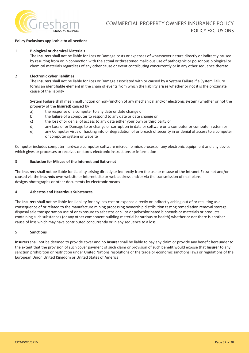

#### **Policy Exclusions applicable to all sections**

#### 1 **Biological or chemical Materials**

The **Insurers** shall not be liable for Loss or Damage costs or expenses of whatsoever nature directly or indirectly caused by resulting from or in connection with the actual or threatened malicious use of pathogenic or poisonous biological or chemical materials regardless of any other cause or event contributing concurrently or in any other sequence thereto

#### 2 **Electronic cyber liabilities**

The **Insurers** shall not be liable for Loss or Damage associated with or caused by a System Failure if a System Failure forms an identifiable element in the chain of events from which the liability arises whether or not it is the proximate cause of the liability

System Failure shall mean malfunction or non-function of any mechanical and/or electronic system (whether or not the property of the **Insured**) caused by

- a) the response of a computer to any date or date change or
- b) the failure of a computer to respond to any date or date change or
- c) the loss of or denial of access to any data either your own or third party or
- d) any Loss of or Damage to or change or corruption in data or software on a computer or computer system or
- e) any Computer virus or hacking into or degradation of or breach of security in or denial of access to a computer or computer system or website

Computer includes computer hardware computer software microchip microprocessor any electronic equipment and any device which gives or processes or receives or stores electronic instructions or information

#### 3 **Exclusion for Misuse of the Internet and Extra-net**

The **Insurers** shall not be liable for Liability arising directly or indirectly from the use or misuse of the Intranet Extra-net and/or caused via the **Insureds** own website or internet site or web address and/or via the transmission of mail plans designs photographs or other documents by electronic means

#### 4 **Asbestos and Hazardous Substances**

The **Insurers** shall not be liable for Liability for any loss cost or expense directly or indirectly arising out of or resulting as a consequence of or related to the manufacture mining processing ownership distribution testing remediation removal storage disposal sale transportation use of or exposure to asbestos or silica or polychlorinated biphenyls or materials or products containing such substances (or any other component building material hazardous to health) whether or not there is another cause of loss which may have contributed concurrently or in any sequence to a loss

#### 5 **Sanctions**

**Insurers** shall not be deemed to provide cover and no **Insurer** shall be liable to pay any claim or provide any benefit hereunder to the extent that the provision of such cover payment of such claim or provision of such benefit would expose that **Insurer** to any sanction prohibition or restriction under United Nations resolutions or the trade or economic sanctions laws or regulations of the European Union United Kingdom or United States of America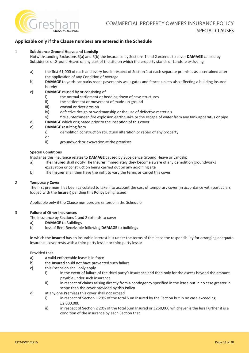

# **Applicable only if the Clause numbers are entered in the Schedule**

#### 1 **Subsidence Ground Heave and Landslip**

Notwithstanding Exclusions 6(a) and 6(b) the insurance by Sections 1 and 2 extends to cover **DAMAGE** caused by Subsidence or Ground Heave of any part of the site on which the property stands or Landslip excluding

- a) the first £1,000 of each and every loss in respect of Section 1 at each separate premises as ascertained after the application of any Condition of Average
- b) **DAMAGE** to yards car parks roads pavements walls gates and fences unless also affecting a building insured hereby
- c) **DAMAGE** caused by or consisting of
	- i) the normal settlement or bedding down of new structures
	- ii) the settlement or movement of made-up ground
	- iii) coastal or river erosion
	- iv) defective design or workmanship or the use of defective materials
	- v) fire subterranean fire explosion earthquake or the escape of water from any tank apparatus or pipe
- d) **DAMAGE** which originated prior to the inception of this cover
- e) **DAMAGE** resulting from
	- i) demolition construction structural alteration or repair of any property
	- or
	- ii) groundwork or excavation at the premises

#### **Special Conditions**

Insofar as this insurance relates to **DAMAGE** caused by Subsidence Ground Heave or Landslip

- a) The **Insured** shall notify The **Insurer** immediately they become aware of any demolition groundworks excavation or construction being carried out on any adjoining site
- b) The **Insurer** shall then have the right to vary the terms or cancel this cover

#### 2 **Temporary Cover**

The first premium has been calculated to take into account the cost of temporary cover (in accordance with particulars lodged with the **Insurer**) pending this **Policy** being issued

Applicable only if the Clause numbers are entered in the Schedule

#### 3 **Failure of Other Insurances**

- The insurance by Sections 1 and 2 extends to cover
- a) **DAMAGE** to Buildings
- b) loss of Rent Receivable following **DAMAGE** to buildings

in which the **Insured** has an insurable interest but under the terms of the lease the responsibility for arranging adequate insurance cover rests with a third party lessee or third party lessor

#### Provided that

- a) a valid enforceable lease is in force
- b) the **Insured** could not have prevented such failure
- c) this Extension shall only apply
	- i) in the event of failure of the third party's insurance and then only for the excess beyond the amount payable under such insurance
	- ii) in respect of claims arising directly from a contingency specified in the lease but in no case greater in scope than the cover provided by this **Policy**
- d) at any one Premises this cover shall not exceed
	- i) in respect of Section 1 20% of the total Sum Insured by the Section but in no case exceeding £2,000,000
	- ii) in respect of Section 2 20% of the total Sum Insured or £250,000 whichever is the less Further it is a condition of the insurance by each Section that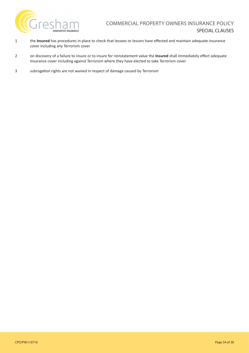

- 1 the **Insured** has procedures in place to check that lessees or lessors have effected and maintain adequate insurance cover including any Terrorism cover
- 2 on discovery of a failure to insure or to insure for reinstatement value the **Insured** shall immediately effect adequate Insurance cover including against Terrorism where they have elected to take Terrorism cover
- 3 subrogation rights are not waived in respect of damage caused by Terrorism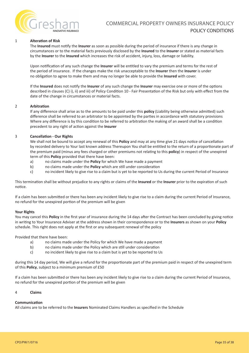

# COMMERCIAL PROPERTY OWNERS INSURANCE POLICY POLICY CONDITIONS

#### 1 **Alteration of Risk**

The **Insured** must notify the **Insurer** as soon as possible during the period of insurance if there is any change in circumstances or to the material facts previously disclosed by the **Insured** to the **Insurer** or stated as material facts by the **Insurer** to the **Insured** which increases the risk of accident, injury, loss, damage or liability.

Upon notification of any such change the **Insurer** will be entitled to vary the premium and terms for the rest of the period of insurance. If the changes make the risk unacceptable to the **Insurer** then the **Insurer** is under no obligation to agree to make them and may no longer be able to provide the **Insured** with cover.

If the **Insured** does not notify the **Insurer** of any such change the **Insurer** may exercise one or more of the options described in clauses (C) i), ii) and iii) of Policy Condition 10 - Fair Presentation of the Risk but only with effect from the date of the change in circumstances or material facts.

#### 2 **Arbitration**

If any difference shall arise as to the amounts to be paid under this **policy** (Liability being otherwise admitted) such difference shall be referred to an arbitrator to be appointed by the parties in accordance with statutory provisions Where any difference is by this condition to be referred to arbitration the making of an award shall be a condition precedent to any right of action against the **Insurer**

#### 3 **Cancellation - Our Rights**

We shall not be bound to accept any renewal of this **Policy** and may at any time give 21 days notice of cancellation by recorded delivery to Your last known address Thereupon You shall be entitled to the return of a proportionate part of the premium paid (minus any fees charged or other premiums not relating to this **policy**) in respect of the unexpired term of this **Policy** provided that there have been:

- a) no claims made under the **Policy** for which We have made a payment
- b) no claims made under the **Policy** which are still under consideration
- c) no incident likely to give rise to a claim but is yet to be reported to Us during the current Period of Insurance

This termination shall be without prejudice to any rights or claims of the **Insured** or the **Insurer** prior to the expiration of such notice.

If a claim has been submitted or there has been any incident likely to give rise to a claim during the current Period of Insurance, no refund for the unexpired portion of the premium will be given

#### **Your Rights**

You may cancel this **Policy** in the first year of insurance during the 14 days after the Contract has been concluded by giving notice in writing to Your Insurance Adviser at the address shown in their correspondence or to the **Insurers** as shown on your **Policy** schedule. This right does not apply at the first or any subsequent renewal of the policy

Provided that there have been:

- a) no claims made under the Policy for which We have made a payment
- b) no claims made under the Policy which are still under consideration
- c) no incident likely to give rise to a claim but is yet to be reported to Us

during this 14 day period, We will give a refund for the proportionate part of the premium paid in respect of the unexpired term of this **Policy**, subject to a minimum premium of £50

If a claim has been submitted or there has been any incident likely to give rise to a claim during the current Period of Insurance, no refund for the unexpired portion of the premium will be given

#### 4 **Claims**

#### **Communication**

All claims are to be referred to the **Insurers** Nominated Claims Handlers as specified in the Schedule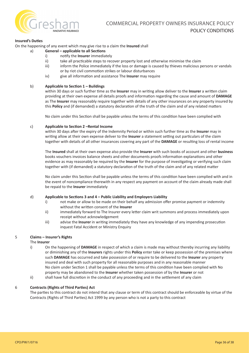

#### **Insured's Duties**

On the happening of any event which may give rise to a claim the **Insured** shall

## a) **General – applicable to all Sections**

- i) notify the **Insurer** immediately
- ii) take all practicable steps to recover property lost and otherwise minimise the claim
- iii) inform the Police immediately if the loss or damage is caused by thieves malicious persons or vandals or by riot civil commotion strikes or labour disturbances
- iv) give all information and assistance The **Insurer** may require

#### b) **Applicable to Section 1 – Buildings**

within 30 days or such further time as the **Insurer** may in writing allow deliver to the **Insurer** a written claim providing at their own expense all details proofs and information regarding the cause and amount of **DAMAGE** as The **Insurer** may reasonably require together with details of any other insurances on any property insured by this **Policy** and (if demanded) a statutory declaration of the truth of the claim and of any related matters

No claim under this Section shall be payable unless the terms of this condition have been complied with

#### c) **Applicable to Section 2 –Rental Income**

within 30 days after the expiry of the Indemnity Period or within such further time as the **Insurer** may in writing allow at their own expense deliver to the **Insurer** a statement setting out particulars of the claim together with details of all other insurances covering any part of the **DAMAGE** or resulting loss of rental income

The **Insured** shall at their own expense also provide the **Insurer** with such books of account and other **business** books vouchers invoices balance sheets and other documents proofs information explanations and other evidence as may reasonably be required by the **Insurer** for the purpose of investigating or verifying such claim together with (if demanded) a statutory declaration of the truth of the claim and of any related matter

No claim under this Section shall be payable unless the terms of this condition have been complied with and in the event of noncompliance therewith in any respect any payment on account of the claim already made shall be repaid to the **Insurer** immediately

#### d) **Applicable to Sections 3 and 4 – Public Liability and Employers Liability**

- i) not make or allow to be made on their behalf any admission offer promise payment or indemnity without the written consent of the **Insurer**
- ii) immediately forward to The Insurer every letter claim writ summons and process immediately upon receipt without acknowledgement
- iii) advise the **Insurer** in writing immediately they have any knowledge of any impending prosecution inquest Fatal Accident or Ministry Enquiry

#### 5 **Claims – Insurer's Rights**

#### The **Insurer**

- i) On the happening of **DAMAGE** in respect of which a claim is made may without thereby incurring any liability or diminishing any of the **Insurers** rights under this **Policy** enter take or keep possession of the premises where such **DAMAGE** has occurred and take possession of or require to be delivered to the **Insurer** any property insured and deal with such property for all reasonable purposes and in any reasonable manner No claim under Section 1 shall be payable unless the terms of this condition have been complied with No property may be abandoned to the **Insurer** whether taken possession of by the **Insurer** or not
- ii) shall have full discretion in the conduct of any proceeding and in the settlement of any claim

#### 6 **Contracts (Rights of Third Parties) Act**

The parties to this contract do not intend that any clause or term of this contract should be enforceable by virtue of the Contracts (Rights of Third Parties) Act 1999 by any person who is not a party to this contract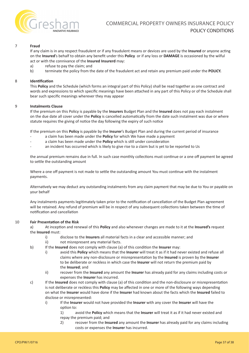

#### 7 **Fraud**

If any claim is in any respect fraudulent or if any fraudulent means or devices are used by the **Insured** or anyone acting on the **Insured**'s behalf to obtain any benefit under this **Policy** or if any loss or **DAMAGE** is occasioned by the wilful act or with the connivance of the **Insured Insurerd** may:

- a) refuse to pay the claim; and
- b) terminate the policy from the date of the fraudulent act and retain any premium paid under the **POLICY.**

#### 8 **Identification**

This **Policy** and the Schedule (which forms an integral part of this Policy) shall be read together as one contract and words and expressions to which specific meanings have been attached in any part of this Policy or of the Schedule shall bear such specific meanings wherever they may appear

#### 9 **Instalments Clause**

If the premium on this Policy is payable by the **Insurers** Budget Plan and the **Insured** does not pay each instalment on the due date all cover under the **Policy** is cancelled automatically from the date such instalment was due or where statute requires the giving of notice the day following the expiry of such notice

If the premium on this **Policy** is payable by the **Insurer**'s Budget Plan and during the current period of insurance

- a claim has been made under the **Policy** for which We have made a payment
- a claim has been made under the **Policy** which is still under consideration
- an incident has occurred which is likely to give rise to a claim but is yet to be reported to Us

the annual premium remains due in full. In such case monthly collections must continue or a one off payment be agreed to settle the outstanding amount

Where a one off payment is not made to settle the outstanding amount You must continue with the instalment payments.

Alternatively we may deduct any outstanding instalments from any claim payment that may be due to You or payable on your behalf

Any instalments payments legitimately taken prior to the notification of cancellation of the Budget Plan agreement will be retained. Any refund of premium will be in respect of any subsequent collections taken between the time of notification and cancellation

#### 10 **Fair Presentation of the Risk**

a) At inception and renewal of this **Policy** and also whenever changes are made to it at the **Insured's** request the **Insured** must:

- i) disclose to the **Insurers** all material facts in a clear and accessible manner; and
- ii) not misrepresent any material facts.
- b) If the **Insured** does not comply with clause (a) of this condition the **Insurer** may:
	- i) avoid this **Policy** which means that the **Insurer** will treat it as if it had never existed and refuse all claims where any non-disclosure or misrepresentation by the **Insured** is proven by the **Insurer** to be deliberate or reckless in which case the **Insurer** will not return the premium paid by the **Insured**; and
	- ii) recover from the **Insured** any amount the **Insurer** has already paid for any claims including costs or expenses the **Insurer** has incurred.
- c) If the **Insured** does not comply with clause (a) of this condition and the non-disclosure or misrepresentation is not deliberate or reckless this **Policy** may be affected in one or more of the following ways depending on what the **Insurer** would have done if the **Insurer** had known about the facts which the **Insured** failed to disclose or misrepresented:
	- i) If the **Insurer** would not have provided the **Insurer** with any cover the **Insurer** will have the option to:
		- 1) avoid the **Policy** which means that the **Insurer** will treat it as if it had never existed and repay the premium paid; and
		- 2) recover from the **Insured** any amount the **Insurer** has already paid for any claims including costs or expenses the **Insurer** has incurred.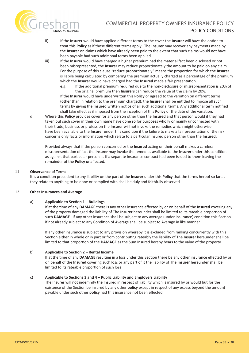

# COMMERCIAL PROPERTY OWNERS INSURANCE POLICY POLICY CONDITIONS

- ii) If the **Insurer** would have applied different terms to the cover the **Insurer** will have the option to treat this **Policy** as if those different terms apply. The **Insurer** may recover any payments made by the **Insurer** on claims which have already been paid to the extent that such claims would not have been payable had such additional terms been applied.
- iii) If the **Insurer** would have charged a higher premium had the material fact been disclosed or not been misrepresented, the **Insurer** may reduce proportionately the amount to be paid on any claim. For the purpose of this clause "reduce proportionately" means the proportion for which the **Insurer**  is liabile being calculated by comparing the premium actually charged as a percentage of the premium which the **Insurer** would have charged had the **Insured** made a fair presentation.
	- e.g. If the additional premium required due to the non-disclosure or misrepresentation is 20% of the original premium then **Insurers** can reduce the value of the claim by 20%.

If the **Insurer** would have underwritten this **Policy** or agreed to the variation on different terms (other than in relation to the premium charged), the **Insurer** shall be entitled to impose all such terms by giving the **Insured** written notice of all such additional terms. Any additional term notified shall take effect as if imposed from the inception of this **Policy** or the date of the variation.

d) Where this **Policy** provides cover for any person other than the **Insured** and that person would if they had taken out such cover in their own name have done so for purposes wholly or mainly unconnected with their trade, business or profession the **Insurer** will not invoke the remedies which might otherwise have been available to the **Insurer** under this condition if the failure to make a fair presentation of the risk concerns only facts or information which relate to a particular insured person other than the **Insured.**

Provided always that if the person concerned or the **Insured** acting on their behalf makes a careless misrepresentation of fact the **Insurer** may invoke the remedies available to the **Insurer** under this condition as against that particular person as if a separate insurance contract had been issued to them leaving the remainder of the **Policy** unaffected.

#### 11 **Observance of Terms**

It is a condition precedent to any liability on the part of the **Insurer** under this **Policy** that the terms hereof so far as they relate to anything to be done or complied with shall be duly and faithfully observed

#### 12 **Other Insurances and Average**

#### a) **Applicable to Section 1 – Buildings**

If at the time of any **DAMAGE** there is any other insurance effected by or on behalf of the **Insured** covering any of the property damaged the liability of The **Insurer** hereunder shall be limited to its rateable proportion of such **DAMAGE** If any other insurance shall be subject to any average (under insurance) condition this Section if not already subject to any Condition of Average shall be subject to Average in like manner

If any other insurance is subject to any provision whereby it is excluded from ranking concurrently with this Section either in whole or in part or from contributing rateably the liability of The **Insurer** hereunder shall be limited to that proportion of the **DAMAGE** as the Sum Insured hereby bears to the value of the property

## b) **Applicable to Section 2 – Rental Income**

If at the time of any **DAMAGE** resulting in a loss under this Section there be any other insurance effected by or on behalf of the **Insured** covering such loss or any part of it the liability of The **Insurer** hereunder shall be limited to its rateable proportion of such loss

#### c) **Applicable to Sections 3 and 4 – Public Liability and Employers Liability**

The Insurer will not indemnify the Insured in respect of liability which is insured by or would but for the existence of the Section be insured by any other **policy** except in respect of any excess beyond the amount payable under such other **policy** had this insurance not been effected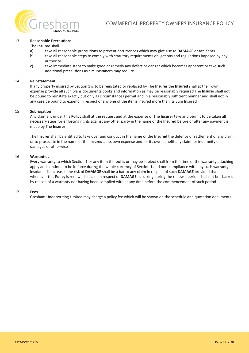

#### 13 **Reasonable Precautions**

#### The **Insured** shall

- a) take all reasonable precautions to prevent occurrences which may give rise to **DAMAGE** or accidents
- b) take all reasonable steps to comply with statutory requirements obligations and regulations imposed by any authority
- c) take immediate steps to make good or remedy any defect or danger which becomes apparent or take such additional precautions as circumstances may require

#### 14 **Reinstatement**

If any property insured by Section 1 is to be reinstated or replaced by The **Insurer** the **Insured** shall at their own expense provide all such plans documents books and information as may be reasonably required The **Insurer** shall not be bound to reinstate exactly but only as circumstances permit and in a reasonably sufficient manner and shall not in any case be bound to expend in respect of any one of the items insured more than its Sum Insured

#### 15 **Subrogation**

Any claimant under this **Policy** shall at the request and at the expense of The **Insurer** take and permit to be taken all necessary steps for enforcing rights against any other party in the name of the **Insured** before or after any payment is made by The **Insurer**

The **Insurer** shall be entitled to take over and conduct in the name of the **Insured** the defence or settlement of any claim or to prosecute in the name of the **Insured** at its own expense and for its own benefit any claim for indemnity or damages or otherwise

#### 16 **Warranties**

Every warranty to which Section 1 or any item thereof is or may be subject shall from the time of the warranty attaching apply and continue to be in force during the whole currency of Section 1 and non-compliance with any such warranty insofar as it increases the risk of **DAMAGE** shall be a bar to any claim in respect of such **DAMAGE** provided that whenever this **Policy** is renewed a claim in respect of **DAMAGE** occurring during the renewal period shall not be barred by reason of a warranty not having been complied with at any time before the commencement of such period

#### 17 **Fees**

Gresham Underwriting Limited may charge a policy fee which will be shown on the schedule and quotation documents.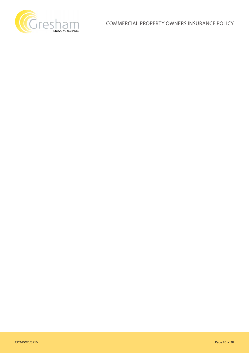